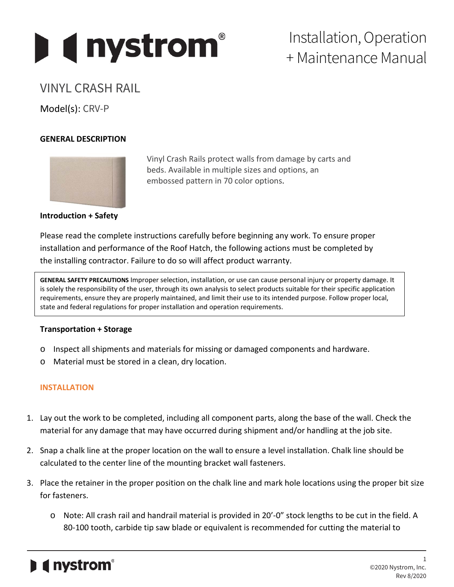

# Installation, Operation + Maintenance Manual

# VINYL CRASH RAIL

Model(s): CRV-P

## **GENERAL DESCRIPTION**



Vinyl Crash Rails protect walls from damage by carts and beds. Available in multiple sizes and options, an embossed pattern in 70 color options.

### **Introduction + Safety**

Please read the complete instructions carefully before beginning any work. To ensure proper installation and performance of the Roof Hatch, the following actions must be completed by the installing contractor. Failure to do so will affect product warranty.

**GENERAL SAFETY PRECAUTIONS** Improper selection, installation, or use can cause personal injury or property damage. It is solely the responsibility of the user, through its own analysis to select products suitable for their specific application requirements, ensure they are properly maintained, and limit their use to its intended purpose. Follow proper local, state and federal regulations for proper installation and operation requirements.

#### **Transportation + Storage**

- o Inspect all shipments and materials for missing or damaged components and hardware.
- o Material must be stored in a clean, dry location.

# **INSTALLATION**

- 1. Lay out the work to be completed, including all component parts, along the base of the wall. Check the material for any damage that may have occurred during shipment and/or handling at the job site.
- 2. Snap a chalk line at the proper location on the wall to ensure a level installation. Chalk line should be calculated to the center line of the mounting bracket wall fasteners.
- 3. Place the retainer in the proper position on the chalk line and mark hole locations using the proper bit size for fasteners.
	- o Note: All crash rail and handrail material is provided in 20'-0" stock lengths to be cut in the field. A 80-100 tooth, carbide tip saw blade or equivalent is recommended for cutting the material to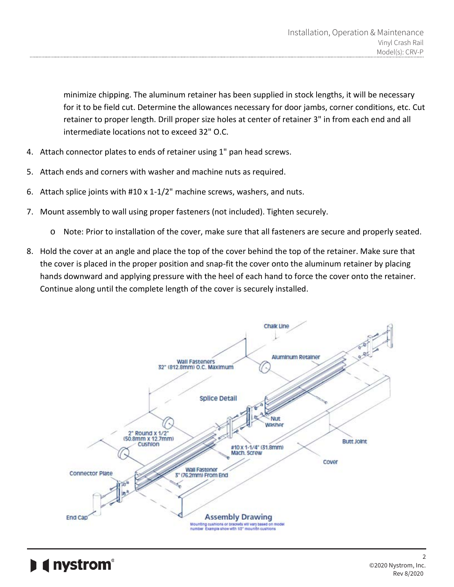minimize chipping. The aluminum retainer has been supplied in stock lengths, it will be necessary for it to be field cut. Determine the allowances necessary for door jambs, corner conditions, etc. Cut retainer to proper length. Drill proper size holes at center of retainer 3" in from each end and all intermediate locations not to exceed 32" O.C.

- 4. Attach connector plates to ends of retainer using 1" pan head screws.
- 5. Attach ends and corners with washer and machine nuts as required.
- 6. Attach splice joints with #10 x 1-1/2" machine screws, washers, and nuts.
- 7. Mount assembly to wall using proper fasteners (not included). Tighten securely.
	- o Note: Prior to installation of the cover, make sure that all fasteners are secure and properly seated.
- 8. Hold the cover at an angle and place the top of the cover behind the top of the retainer. Make sure that the cover is placed in the proper position and snap-fit the cover onto the aluminum retainer by placing hands downward and applying pressure with the heel of each hand to force the cover onto the retainer. Continue along until the complete length of the cover is securely installed.



( nystrom<sup>®</sup>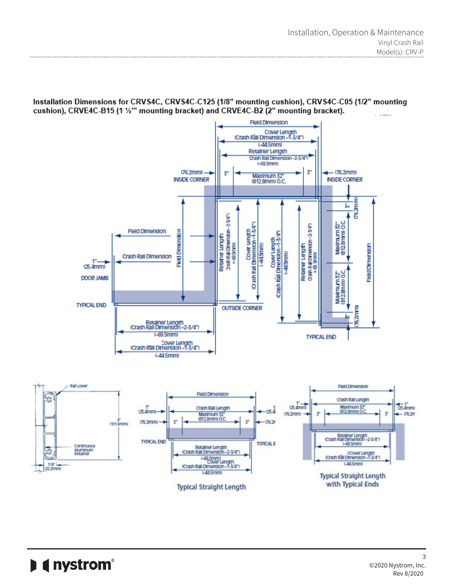Installation Dimensions for CRVS4C, CRVS4C-C125 (1/8" mounting cushion), CRVS4C-C05 (1/2" mounting cushion), CRVE4C-B15 (1 1/2" mounting bracket) and CRVE4C-B2 (2" mounting bracket).